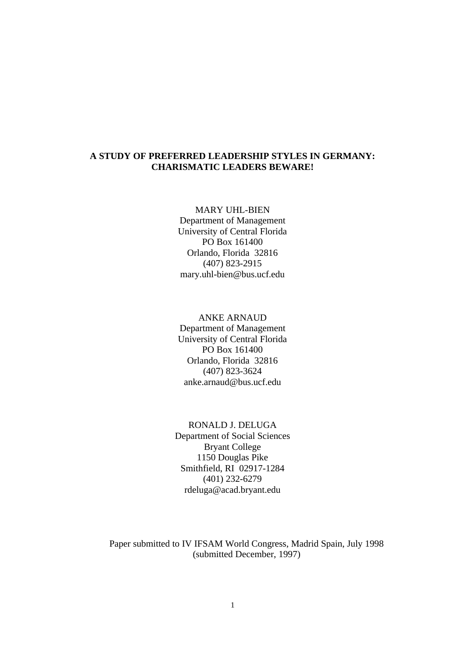## **A STUDY OF PREFERRED LEADERSHIP STYLES IN GERMANY: CHARISMATIC LEADERS BEWARE!**

MARY UHL-BIEN

Department of Management University of Central Florida PO Box 161400 Orlando, Florida 32816 (407) 823-2915 mary.uhl-bien@bus.ucf.edu

## ANKE ARNAUD Department of Management University of Central Florida PO Box 161400 Orlando, Florida 32816 (407) 823-3624 anke.arnaud@bus.ucf.edu

RONALD J. DELUGA Department of Social Sciences Bryant College 1150 Douglas Pike Smithfield, RI 02917-1284 (401) 232-6279 rdeluga@acad.bryant.edu

Paper submitted to IV IFSAM World Congress, Madrid Spain, July 1998 (submitted December, 1997)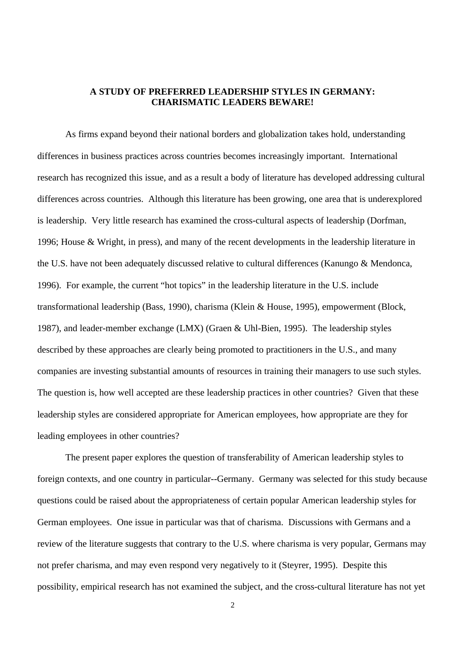## **A STUDY OF PREFERRED LEADERSHIP STYLES IN GERMANY: CHARISMATIC LEADERS BEWARE!**

As firms expand beyond their national borders and globalization takes hold, understanding differences in business practices across countries becomes increasingly important. International research has recognized this issue, and as a result a body of literature has developed addressing cultural differences across countries. Although this literature has been growing, one area that is underexplored is leadership. Very little research has examined the cross-cultural aspects of leadership (Dorfman, 1996; House & Wright, in press), and many of the recent developments in the leadership literature in the U.S. have not been adequately discussed relative to cultural differences (Kanungo & Mendonca, 1996). For example, the current "hot topics" in the leadership literature in the U.S. include transformational leadership (Bass, 1990), charisma (Klein & House, 1995), empowerment (Block, 1987), and leader-member exchange (LMX) (Graen & Uhl-Bien, 1995). The leadership styles described by these approaches are clearly being promoted to practitioners in the U.S., and many companies are investing substantial amounts of resources in training their managers to use such styles. The question is, how well accepted are these leadership practices in other countries? Given that these leadership styles are considered appropriate for American employees, how appropriate are they for leading employees in other countries?

The present paper explores the question of transferability of American leadership styles to foreign contexts, and one country in particular--Germany. Germany was selected for this study because questions could be raised about the appropriateness of certain popular American leadership styles for German employees. One issue in particular was that of charisma. Discussions with Germans and a review of the literature suggests that contrary to the U.S. where charisma is very popular, Germans may not prefer charisma, and may even respond very negatively to it (Steyrer, 1995). Despite this possibility, empirical research has not examined the subject, and the cross-cultural literature has not yet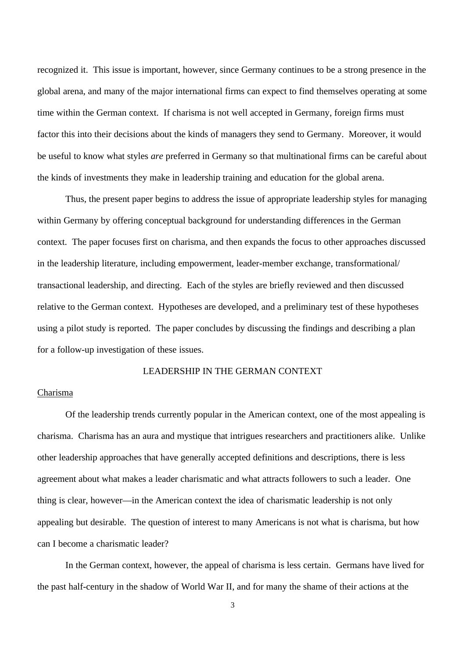recognized it. This issue is important, however, since Germany continues to be a strong presence in the global arena, and many of the major international firms can expect to find themselves operating at some time within the German context. If charisma is not well accepted in Germany, foreign firms must factor this into their decisions about the kinds of managers they send to Germany. Moreover, it would be useful to know what styles *are* preferred in Germany so that multinational firms can be careful about the kinds of investments they make in leadership training and education for the global arena.

Thus, the present paper begins to address the issue of appropriate leadership styles for managing within Germany by offering conceptual background for understanding differences in the German context. The paper focuses first on charisma, and then expands the focus to other approaches discussed in the leadership literature, including empowerment, leader-member exchange, transformational/ transactional leadership, and directing. Each of the styles are briefly reviewed and then discussed relative to the German context. Hypotheses are developed, and a preliminary test of these hypotheses using a pilot study is reported. The paper concludes by discussing the findings and describing a plan for a follow-up investigation of these issues.

## LEADERSHIP IN THE GERMAN CONTEXT

### Charisma

Of the leadership trends currently popular in the American context, one of the most appealing is charisma. Charisma has an aura and mystique that intrigues researchers and practitioners alike. Unlike other leadership approaches that have generally accepted definitions and descriptions, there is less agreement about what makes a leader charismatic and what attracts followers to such a leader. One thing is clear, however—in the American context the idea of charismatic leadership is not only appealing but desirable. The question of interest to many Americans is not what is charisma, but how can I become a charismatic leader?

In the German context, however, the appeal of charisma is less certain. Germans have lived for the past half-century in the shadow of World War II, and for many the shame of their actions at the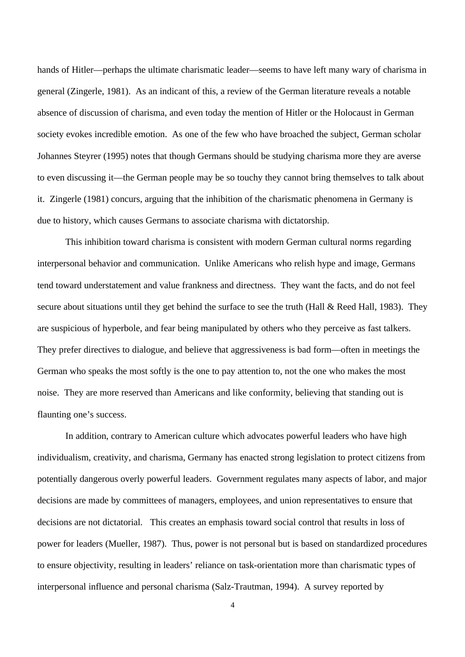hands of Hitler—perhaps the ultimate charismatic leader—seems to have left many wary of charisma in general (Zingerle, 1981). As an indicant of this, a review of the German literature reveals a notable absence of discussion of charisma, and even today the mention of Hitler or the Holocaust in German society evokes incredible emotion. As one of the few who have broached the subject, German scholar Johannes Steyrer (1995) notes that though Germans should be studying charisma more they are averse to even discussing it—the German people may be so touchy they cannot bring themselves to talk about it. Zingerle (1981) concurs, arguing that the inhibition of the charismatic phenomena in Germany is due to history, which causes Germans to associate charisma with dictatorship.

This inhibition toward charisma is consistent with modern German cultural norms regarding interpersonal behavior and communication. Unlike Americans who relish hype and image, Germans tend toward understatement and value frankness and directness. They want the facts, and do not feel secure about situations until they get behind the surface to see the truth (Hall & Reed Hall, 1983). They are suspicious of hyperbole, and fear being manipulated by others who they perceive as fast talkers. They prefer directives to dialogue, and believe that aggressiveness is bad form—often in meetings the German who speaks the most softly is the one to pay attention to, not the one who makes the most noise. They are more reserved than Americans and like conformity, believing that standing out is flaunting one's success.

In addition, contrary to American culture which advocates powerful leaders who have high individualism, creativity, and charisma, Germany has enacted strong legislation to protect citizens from potentially dangerous overly powerful leaders. Government regulates many aspects of labor, and major decisions are made by committees of managers, employees, and union representatives to ensure that decisions are not dictatorial. This creates an emphasis toward social control that results in loss of power for leaders (Mueller, 1987). Thus, power is not personal but is based on standardized procedures to ensure objectivity, resulting in leaders' reliance on task-orientation more than charismatic types of interpersonal influence and personal charisma (Salz-Trautman, 1994). A survey reported by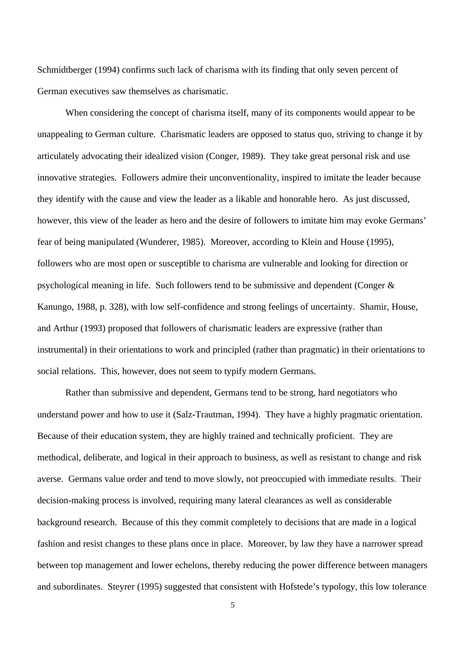Schmidtberger (1994) confirms such lack of charisma with its finding that only seven percent of German executives saw themselves as charismatic.

When considering the concept of charisma itself, many of its components would appear to be unappealing to German culture. Charismatic leaders are opposed to status quo, striving to change it by articulately advocating their idealized vision (Conger, 1989). They take great personal risk and use innovative strategies. Followers admire their unconventionality, inspired to imitate the leader because they identify with the cause and view the leader as a likable and honorable hero. As just discussed, however, this view of the leader as hero and the desire of followers to imitate him may evoke Germans' fear of being manipulated (Wunderer, 1985). Moreover, according to Klein and House (1995), followers who are most open or susceptible to charisma are vulnerable and looking for direction or psychological meaning in life. Such followers tend to be submissive and dependent (Conger & Kanungo, 1988, p. 328), with low self-confidence and strong feelings of uncertainty. Shamir, House, and Arthur (1993) proposed that followers of charismatic leaders are expressive (rather than instrumental) in their orientations to work and principled (rather than pragmatic) in their orientations to social relations. This, however, does not seem to typify modern Germans.

Rather than submissive and dependent, Germans tend to be strong, hard negotiators who understand power and how to use it (Salz-Trautman, 1994). They have a highly pragmatic orientation. Because of their education system, they are highly trained and technically proficient. They are methodical, deliberate, and logical in their approach to business, as well as resistant to change and risk averse. Germans value order and tend to move slowly, not preoccupied with immediate results. Their decision-making process is involved, requiring many lateral clearances as well as considerable background research. Because of this they commit completely to decisions that are made in a logical fashion and resist changes to these plans once in place. Moreover, by law they have a narrower spread between top management and lower echelons, thereby reducing the power difference between managers and subordinates. Steyrer (1995) suggested that consistent with Hofstede's typology, this low tolerance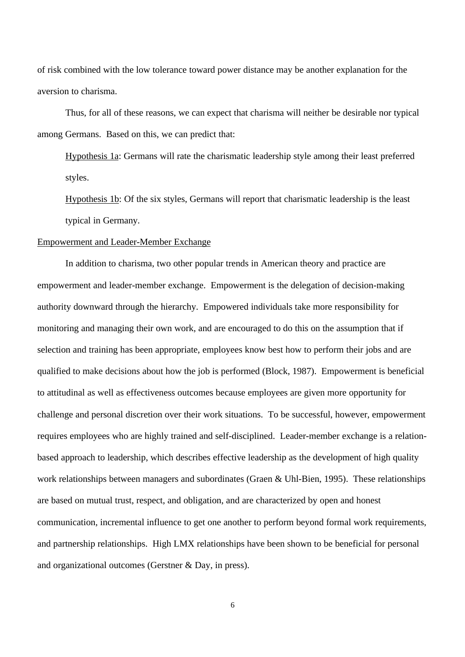of risk combined with the low tolerance toward power distance may be another explanation for the aversion to charisma.

Thus, for all of these reasons, we can expect that charisma will neither be desirable nor typical among Germans. Based on this, we can predict that:

Hypothesis 1a: Germans will rate the charismatic leadership style among their least preferred styles.

Hypothesis 1b: Of the six styles, Germans will report that charismatic leadership is the least typical in Germany.

#### Empowerment and Leader-Member Exchange

In addition to charisma, two other popular trends in American theory and practice are empowerment and leader-member exchange. Empowerment is the delegation of decision-making authority downward through the hierarchy. Empowered individuals take more responsibility for monitoring and managing their own work, and are encouraged to do this on the assumption that if selection and training has been appropriate, employees know best how to perform their jobs and are qualified to make decisions about how the job is performed (Block, 1987). Empowerment is beneficial to attitudinal as well as effectiveness outcomes because employees are given more opportunity for challenge and personal discretion over their work situations. To be successful, however, empowerment requires employees who are highly trained and self-disciplined. Leader-member exchange is a relationbased approach to leadership, which describes effective leadership as the development of high quality work relationships between managers and subordinates (Graen & Uhl-Bien, 1995). These relationships are based on mutual trust, respect, and obligation, and are characterized by open and honest communication, incremental influence to get one another to perform beyond formal work requirements, and partnership relationships. High LMX relationships have been shown to be beneficial for personal and organizational outcomes (Gerstner & Day, in press).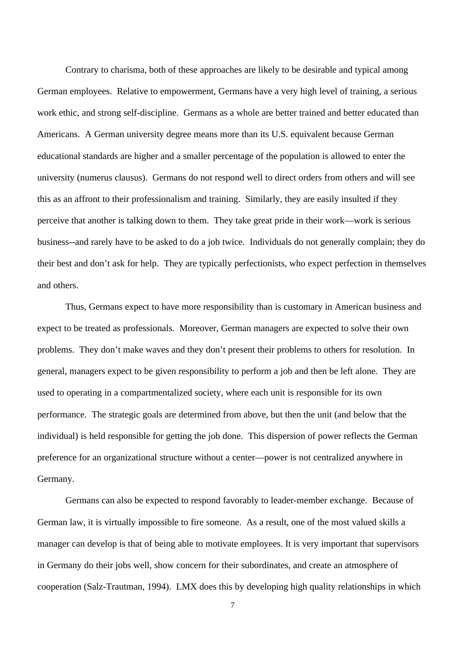Contrary to charisma, both of these approaches are likely to be desirable and typical among German employees. Relative to empowerment, Germans have a very high level of training, a serious work ethic, and strong self-discipline. Germans as a whole are better trained and better educated than Americans. A German university degree means more than its U.S. equivalent because German educational standards are higher and a smaller percentage of the population is allowed to enter the university (numerus clausus). Germans do not respond well to direct orders from others and will see this as an affront to their professionalism and training. Similarly, they are easily insulted if they perceive that another is talking down to them. They take great pride in their work—work is serious business--and rarely have to be asked to do a job twice. Individuals do not generally complain; they do their best and don't ask for help. They are typically perfectionists, who expect perfection in themselves and others.

Thus, Germans expect to have more responsibility than is customary in American business and expect to be treated as professionals. Moreover, German managers are expected to solve their own problems. They don't make waves and they don't present their problems to others for resolution. In general, managers expect to be given responsibility to perform a job and then be left alone. They are used to operating in a compartmentalized society, where each unit is responsible for its own performance. The strategic goals are determined from above, but then the unit (and below that the individual) is held responsible for getting the job done. This dispersion of power reflects the German preference for an organizational structure without a center—power is not centralized anywhere in Germany.

Germans can also be expected to respond favorably to leader-member exchange. Because of German law, it is virtually impossible to fire someone. As a result, one of the most valued skills a manager can develop is that of being able to motivate employees. It is very important that supervisors in Germany do their jobs well, show concern for their subordinates, and create an atmosphere of cooperation (Salz-Trautman, 1994). LMX does this by developing high quality relationships in which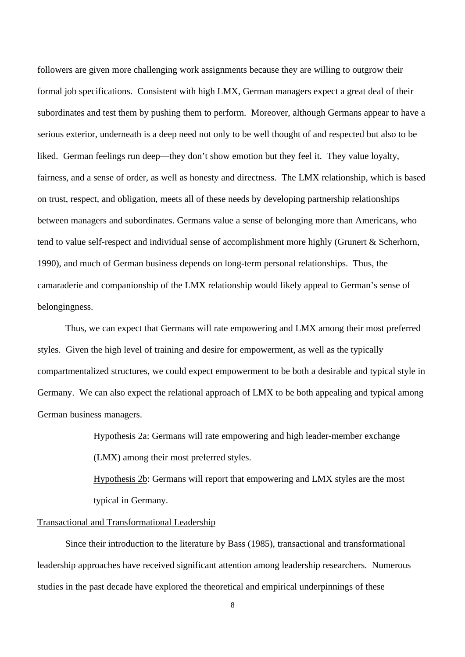followers are given more challenging work assignments because they are willing to outgrow their formal job specifications. Consistent with high LMX, German managers expect a great deal of their subordinates and test them by pushing them to perform. Moreover, although Germans appear to have a serious exterior, underneath is a deep need not only to be well thought of and respected but also to be liked. German feelings run deep—they don't show emotion but they feel it. They value loyalty, fairness, and a sense of order, as well as honesty and directness. The LMX relationship, which is based on trust, respect, and obligation, meets all of these needs by developing partnership relationships between managers and subordinates. Germans value a sense of belonging more than Americans, who tend to value self-respect and individual sense of accomplishment more highly (Grunert & Scherhorn, 1990), and much of German business depends on long-term personal relationships. Thus, the camaraderie and companionship of the LMX relationship would likely appeal to German's sense of belongingness.

Thus, we can expect that Germans will rate empowering and LMX among their most preferred styles. Given the high level of training and desire for empowerment, as well as the typically compartmentalized structures, we could expect empowerment to be both a desirable and typical style in Germany. We can also expect the relational approach of LMX to be both appealing and typical among German business managers.

> Hypothesis 2a: Germans will rate empowering and high leader-member exchange (LMX) among their most preferred styles.

Hypothesis 2b: Germans will report that empowering and LMX styles are the most typical in Germany.

## Transactional and Transformational Leadership

Since their introduction to the literature by Bass (1985), transactional and transformational leadership approaches have received significant attention among leadership researchers. Numerous studies in the past decade have explored the theoretical and empirical underpinnings of these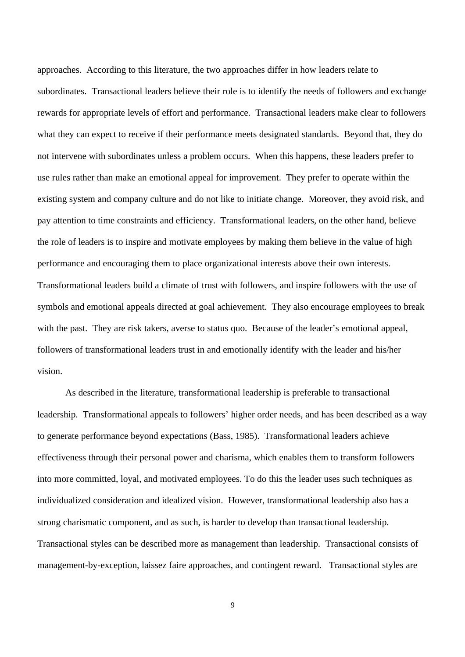approaches. According to this literature, the two approaches differ in how leaders relate to subordinates. Transactional leaders believe their role is to identify the needs of followers and exchange rewards for appropriate levels of effort and performance. Transactional leaders make clear to followers what they can expect to receive if their performance meets designated standards. Beyond that, they do not intervene with subordinates unless a problem occurs. When this happens, these leaders prefer to use rules rather than make an emotional appeal for improvement. They prefer to operate within the existing system and company culture and do not like to initiate change. Moreover, they avoid risk, and pay attention to time constraints and efficiency. Transformational leaders, on the other hand, believe the role of leaders is to inspire and motivate employees by making them believe in the value of high performance and encouraging them to place organizational interests above their own interests. Transformational leaders build a climate of trust with followers, and inspire followers with the use of symbols and emotional appeals directed at goal achievement. They also encourage employees to break with the past. They are risk takers, averse to status quo. Because of the leader's emotional appeal, followers of transformational leaders trust in and emotionally identify with the leader and his/her vision.

As described in the literature, transformational leadership is preferable to transactional leadership. Transformational appeals to followers' higher order needs, and has been described as a way to generate performance beyond expectations (Bass, 1985). Transformational leaders achieve effectiveness through their personal power and charisma, which enables them to transform followers into more committed, loyal, and motivated employees. To do this the leader uses such techniques as individualized consideration and idealized vision. However, transformational leadership also has a strong charismatic component, and as such, is harder to develop than transactional leadership. Transactional styles can be described more as management than leadership. Transactional consists of management-by-exception, laissez faire approaches, and contingent reward. Transactional styles are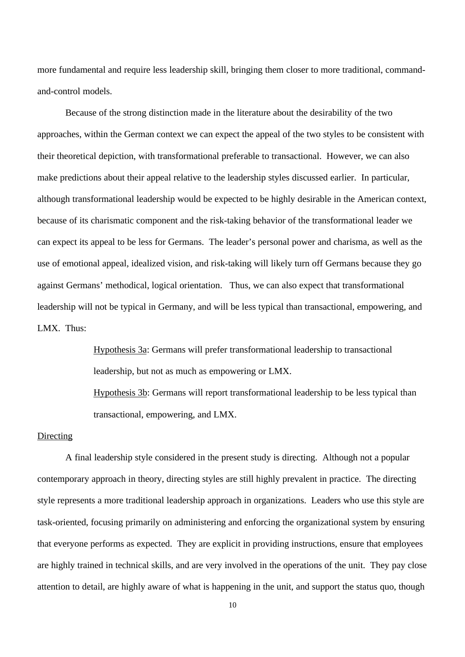more fundamental and require less leadership skill, bringing them closer to more traditional, commandand-control models.

Because of the strong distinction made in the literature about the desirability of the two approaches, within the German context we can expect the appeal of the two styles to be consistent with their theoretical depiction, with transformational preferable to transactional. However, we can also make predictions about their appeal relative to the leadership styles discussed earlier. In particular, although transformational leadership would be expected to be highly desirable in the American context, because of its charismatic component and the risk-taking behavior of the transformational leader we can expect its appeal to be less for Germans. The leader's personal power and charisma, as well as the use of emotional appeal, idealized vision, and risk-taking will likely turn off Germans because they go against Germans' methodical, logical orientation. Thus, we can also expect that transformational leadership will not be typical in Germany, and will be less typical than transactional, empowering, and LMX. Thus:

> Hypothesis 3a: Germans will prefer transformational leadership to transactional leadership, but not as much as empowering or LMX.

Hypothesis 3b: Germans will report transformational leadership to be less typical than transactional, empowering, and LMX.

### Directing

A final leadership style considered in the present study is directing. Although not a popular contemporary approach in theory, directing styles are still highly prevalent in practice. The directing style represents a more traditional leadership approach in organizations. Leaders who use this style are task-oriented, focusing primarily on administering and enforcing the organizational system by ensuring that everyone performs as expected. They are explicit in providing instructions, ensure that employees are highly trained in technical skills, and are very involved in the operations of the unit. They pay close attention to detail, are highly aware of what is happening in the unit, and support the status quo, though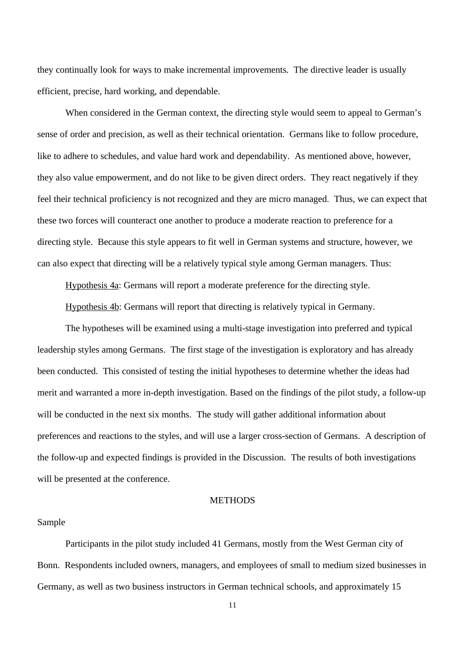they continually look for ways to make incremental improvements. The directive leader is usually efficient, precise, hard working, and dependable.

When considered in the German context, the directing style would seem to appeal to German's sense of order and precision, as well as their technical orientation. Germans like to follow procedure, like to adhere to schedules, and value hard work and dependability. As mentioned above, however, they also value empowerment, and do not like to be given direct orders. They react negatively if they feel their technical proficiency is not recognized and they are micro managed. Thus, we can expect that these two forces will counteract one another to produce a moderate reaction to preference for a directing style. Because this style appears to fit well in German systems and structure, however, we can also expect that directing will be a relatively typical style among German managers. Thus:

Hypothesis 4a: Germans will report a moderate preference for the directing style.

Hypothesis 4b: Germans will report that directing is relatively typical in Germany.

The hypotheses will be examined using a multi-stage investigation into preferred and typical leadership styles among Germans. The first stage of the investigation is exploratory and has already been conducted. This consisted of testing the initial hypotheses to determine whether the ideas had merit and warranted a more in-depth investigation. Based on the findings of the pilot study, a follow-up will be conducted in the next six months. The study will gather additional information about preferences and reactions to the styles, and will use a larger cross-section of Germans. A description of the follow-up and expected findings is provided in the Discussion. The results of both investigations will be presented at the conference.

## **METHODS**

#### Sample

Participants in the pilot study included 41 Germans, mostly from the West German city of Bonn. Respondents included owners, managers, and employees of small to medium sized businesses in Germany, as well as two business instructors in German technical schools, and approximately 15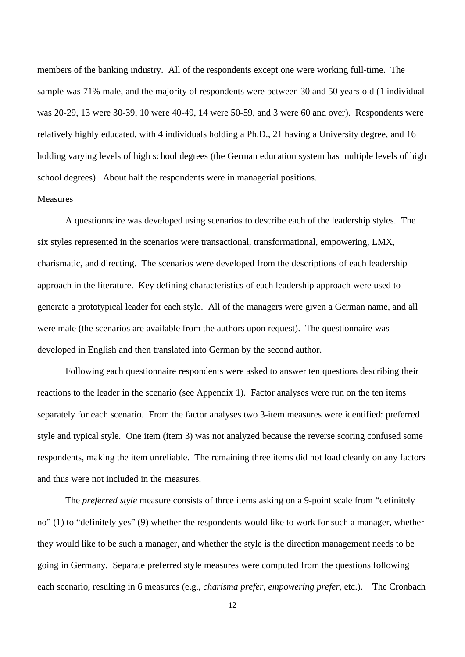members of the banking industry. All of the respondents except one were working full-time. The sample was 71% male, and the majority of respondents were between 30 and 50 years old (1 individual was 20-29, 13 were 30-39, 10 were 40-49, 14 were 50-59, and 3 were 60 and over). Respondents were relatively highly educated, with 4 individuals holding a Ph.D., 21 having a University degree, and 16 holding varying levels of high school degrees (the German education system has multiple levels of high school degrees). About half the respondents were in managerial positions.

#### **Measures**

A questionnaire was developed using scenarios to describe each of the leadership styles. The six styles represented in the scenarios were transactional, transformational, empowering, LMX, charismatic, and directing. The scenarios were developed from the descriptions of each leadership approach in the literature. Key defining characteristics of each leadership approach were used to generate a prototypical leader for each style. All of the managers were given a German name, and all were male (the scenarios are available from the authors upon request). The questionnaire was developed in English and then translated into German by the second author.

Following each questionnaire respondents were asked to answer ten questions describing their reactions to the leader in the scenario (see Appendix 1). Factor analyses were run on the ten items separately for each scenario. From the factor analyses two 3-item measures were identified: preferred style and typical style. One item (item 3) was not analyzed because the reverse scoring confused some respondents, making the item unreliable. The remaining three items did not load cleanly on any factors and thus were not included in the measures.

The *preferred style* measure consists of three items asking on a 9-point scale from "definitely no" (1) to "definitely yes" (9) whether the respondents would like to work for such a manager, whether they would like to be such a manager, and whether the style is the direction management needs to be going in Germany. Separate preferred style measures were computed from the questions following each scenario, resulting in 6 measures (e.g., *charisma prefer*, *empowering prefer*, etc.). The Cronbach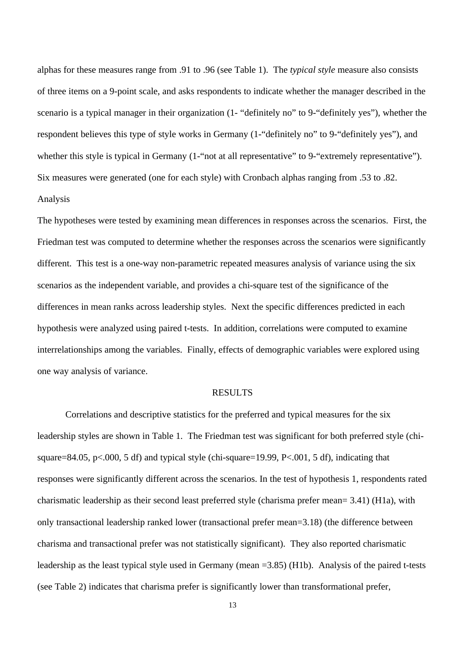alphas for these measures range from .91 to .96 (see Table 1). The *typical style* measure also consists of three items on a 9-point scale, and asks respondents to indicate whether the manager described in the scenario is a typical manager in their organization (1- "definitely no" to 9-"definitely yes"), whether the respondent believes this type of style works in Germany (1-"definitely no" to 9-"definitely yes"), and whether this style is typical in Germany (1-"not at all representative" to 9-"extremely representative"). Six measures were generated (one for each style) with Cronbach alphas ranging from .53 to .82. Analysis

The hypotheses were tested by examining mean differences in responses across the scenarios. First, the Friedman test was computed to determine whether the responses across the scenarios were significantly different. This test is a one-way non-parametric repeated measures analysis of variance using the six scenarios as the independent variable, and provides a chi-square test of the significance of the differences in mean ranks across leadership styles. Next the specific differences predicted in each hypothesis were analyzed using paired t-tests. In addition, correlations were computed to examine interrelationships among the variables. Finally, effects of demographic variables were explored using one way analysis of variance.

#### **RESULTS**

Correlations and descriptive statistics for the preferred and typical measures for the six leadership styles are shown in Table 1. The Friedman test was significant for both preferred style (chisquare=84.05, p<.000, 5 df) and typical style (chi-square=19.99, P<.001, 5 df), indicating that responses were significantly different across the scenarios. In the test of hypothesis 1, respondents rated charismatic leadership as their second least preferred style (charisma prefer mean= 3.41) (H1a), with only transactional leadership ranked lower (transactional prefer mean=3.18) (the difference between charisma and transactional prefer was not statistically significant). They also reported charismatic leadership as the least typical style used in Germany (mean =3.85) (H1b). Analysis of the paired t-tests (see Table 2) indicates that charisma prefer is significantly lower than transformational prefer,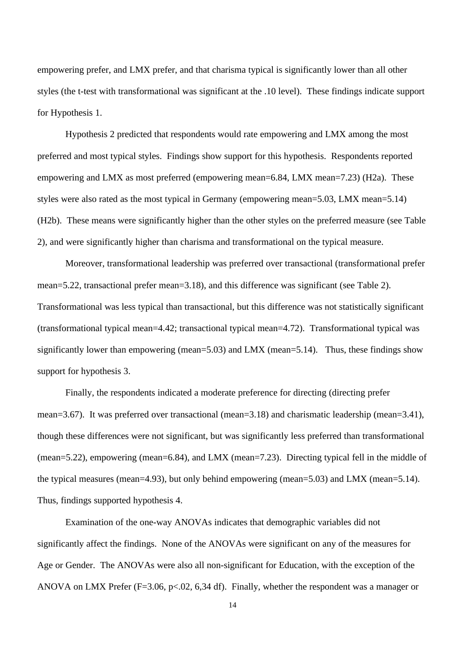empowering prefer, and LMX prefer, and that charisma typical is significantly lower than all other styles (the t-test with transformational was significant at the .10 level). These findings indicate support for Hypothesis 1.

Hypothesis 2 predicted that respondents would rate empowering and LMX among the most preferred and most typical styles. Findings show support for this hypothesis. Respondents reported empowering and LMX as most preferred (empowering mean=6.84, LMX mean=7.23) (H2a). These styles were also rated as the most typical in Germany (empowering mean=5.03, LMX mean=5.14) (H2b). These means were significantly higher than the other styles on the preferred measure (see Table 2), and were significantly higher than charisma and transformational on the typical measure.

Moreover, transformational leadership was preferred over transactional (transformational prefer mean=5.22, transactional prefer mean=3.18), and this difference was significant (see Table 2). Transformational was less typical than transactional, but this difference was not statistically significant (transformational typical mean=4.42; transactional typical mean=4.72). Transformational typical was significantly lower than empowering (mean=5.03) and LMX (mean=5.14). Thus, these findings show support for hypothesis 3.

Finally, the respondents indicated a moderate preference for directing (directing prefer mean=3.67). It was preferred over transactional (mean=3.18) and charismatic leadership (mean=3.41), though these differences were not significant, but was significantly less preferred than transformational (mean=5.22), empowering (mean=6.84), and LMX (mean=7.23). Directing typical fell in the middle of the typical measures (mean=4.93), but only behind empowering (mean=5.03) and LMX (mean=5.14). Thus, findings supported hypothesis 4.

Examination of the one-way ANOVAs indicates that demographic variables did not significantly affect the findings. None of the ANOVAs were significant on any of the measures for Age or Gender. The ANOVAs were also all non-significant for Education, with the exception of the ANOVA on LMX Prefer ( $F=3.06$ ,  $p<0.02$ , 6.34 df). Finally, whether the respondent was a manager or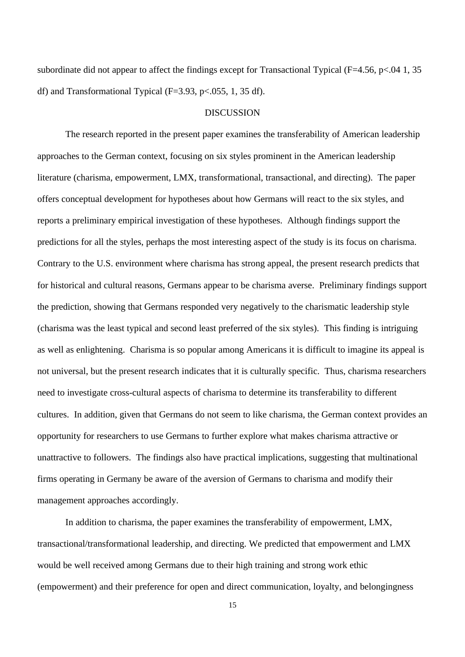subordinate did not appear to affect the findings except for Transactional Typical (F=4.56, p<.04 1, 35 df) and Transformational Typical ( $F=3.93$ ,  $p<0.055$ , 1, 35 df).

#### DISCUSSION

The research reported in the present paper examines the transferability of American leadership approaches to the German context, focusing on six styles prominent in the American leadership literature (charisma, empowerment, LMX, transformational, transactional, and directing). The paper offers conceptual development for hypotheses about how Germans will react to the six styles, and reports a preliminary empirical investigation of these hypotheses. Although findings support the predictions for all the styles, perhaps the most interesting aspect of the study is its focus on charisma. Contrary to the U.S. environment where charisma has strong appeal, the present research predicts that for historical and cultural reasons, Germans appear to be charisma averse. Preliminary findings support the prediction, showing that Germans responded very negatively to the charismatic leadership style (charisma was the least typical and second least preferred of the six styles). This finding is intriguing as well as enlightening. Charisma is so popular among Americans it is difficult to imagine its appeal is not universal, but the present research indicates that it is culturally specific. Thus, charisma researchers need to investigate cross-cultural aspects of charisma to determine its transferability to different cultures. In addition, given that Germans do not seem to like charisma, the German context provides an opportunity for researchers to use Germans to further explore what makes charisma attractive or unattractive to followers. The findings also have practical implications, suggesting that multinational firms operating in Germany be aware of the aversion of Germans to charisma and modify their management approaches accordingly.

In addition to charisma, the paper examines the transferability of empowerment, LMX, transactional/transformational leadership, and directing. We predicted that empowerment and LMX would be well received among Germans due to their high training and strong work ethic (empowerment) and their preference for open and direct communication, loyalty, and belongingness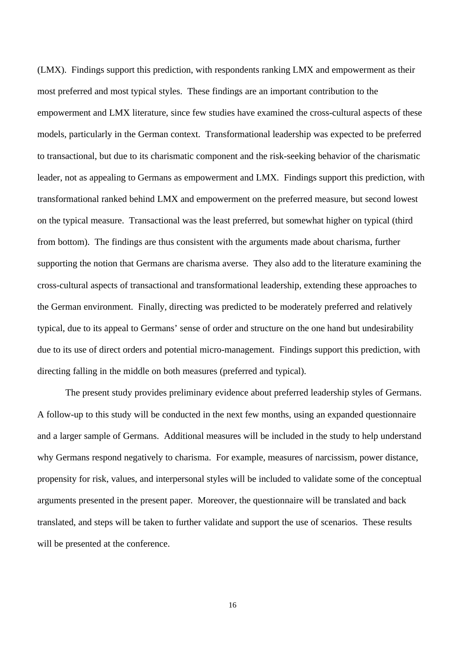(LMX). Findings support this prediction, with respondents ranking LMX and empowerment as their most preferred and most typical styles. These findings are an important contribution to the empowerment and LMX literature, since few studies have examined the cross-cultural aspects of these models, particularly in the German context. Transformational leadership was expected to be preferred to transactional, but due to its charismatic component and the risk-seeking behavior of the charismatic leader, not as appealing to Germans as empowerment and LMX. Findings support this prediction, with transformational ranked behind LMX and empowerment on the preferred measure, but second lowest on the typical measure. Transactional was the least preferred, but somewhat higher on typical (third from bottom). The findings are thus consistent with the arguments made about charisma, further supporting the notion that Germans are charisma averse. They also add to the literature examining the cross-cultural aspects of transactional and transformational leadership, extending these approaches to the German environment. Finally, directing was predicted to be moderately preferred and relatively typical, due to its appeal to Germans' sense of order and structure on the one hand but undesirability due to its use of direct orders and potential micro-management. Findings support this prediction, with directing falling in the middle on both measures (preferred and typical).

The present study provides preliminary evidence about preferred leadership styles of Germans. A follow-up to this study will be conducted in the next few months, using an expanded questionnaire and a larger sample of Germans. Additional measures will be included in the study to help understand why Germans respond negatively to charisma. For example, measures of narcissism, power distance, propensity for risk, values, and interpersonal styles will be included to validate some of the conceptual arguments presented in the present paper. Moreover, the questionnaire will be translated and back translated, and steps will be taken to further validate and support the use of scenarios. These results will be presented at the conference.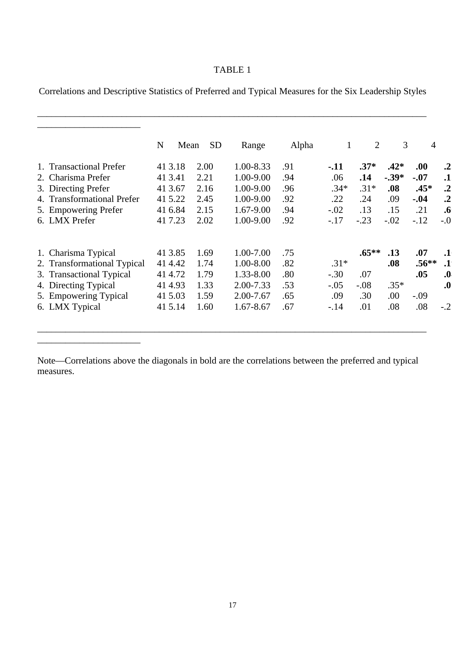## TABLE 1

Correlations and Descriptive Statistics of Preferred and Typical Measures for the Six Leadership Styles

\_\_\_\_\_\_\_\_\_\_\_\_\_\_\_\_\_\_\_\_\_\_\_\_\_\_\_\_\_\_\_\_\_\_\_\_\_\_\_\_\_\_\_\_\_\_\_\_\_\_\_\_\_\_\_\_\_\_\_\_\_\_\_\_\_\_\_\_\_\_\_\_\_\_\_\_\_\_\_\_\_\_\_

|                             | N<br>Mean | <b>SD</b> | Range         | Alpha | $\mathbf{1}$ | $\overline{2}$ | 3       | $\overline{4}$ |                   |
|-----------------------------|-----------|-----------|---------------|-------|--------------|----------------|---------|----------------|-------------------|
| 1. Transactional Prefer     | 41 3.18   | 2.00      | 1.00-8.33     | .91   | -.11         | $.37*$         | $.42*$  | .00.           | $\cdot$ .2        |
| 2. Charisma Prefer          | 41 3.41   | 2.21      | 1.00-9.00     | .94   | .06          | .14            | $-.39*$ | $-.07$         | $\cdot$ 1         |
| 3. Directing Prefer         | 41 3.67   | 2.16      | 1.00-9.00     | .96   | $.34*$       | $.31*$         | .08     | $.45*$         | $\cdot$           |
| 4. Transformational Prefer  | 41 5.22   | 2.45      | 1.00-9.00     | .92   | .22          | .24            | .09     | $-.04$         | $\cdot^2$         |
| 5. Empowering Prefer        | 41 6.84   | 2.15      | 1.67-9.00     | .94   | $-.02$       | .13            | .15     | .21            | $\cdot$ 6         |
| 6. LMX Prefer               | 41 7.23   | 2.02      | 1.00-9.00     | .92   | $-.17$       | $-.23$         | $-.02$  | $-.12$         | $-0$              |
| 1. Charisma Typical         | 41 3.85   | 1.69      | 1.00-7.00     | .75   |              | $.65***$       | .13     | .07            | $\cdot$ 1         |
| 2. Transformational Typical | 41 4.42   | 1.74      | 1.00-8.00     | .82   | $.31*$       |                | .08     | $.56**$        | $\cdot$           |
| 3. Transactional Typical    | 41 4.72   | 1.79      | 1.33-8.00     | .80   | $-.30$       | .07            |         | .05            | $\boldsymbol{.0}$ |
| 4. Directing Typical        | 41 4.93   | 1.33      | $2.00 - 7.33$ | .53   | $-.05$       | $-.08$         | $.35*$  |                | $\boldsymbol{.0}$ |
| 5. Empowering Typical       | 41 5.03   | 1.59      | $2.00 - 7.67$ | .65   | .09          | .30            | .00.    | $-.09$         |                   |
| 6. LMX Typical              | 41 5.14   | 1.60      | $1.67 - 8.67$ | .67   | $-.14$       | .01            | .08     | .08            | $-.2$             |

Note—Correlations above the diagonals in bold are the correlations between the preferred and typical measures.

\_\_\_\_\_\_\_\_\_\_\_\_\_\_\_\_\_\_\_\_\_\_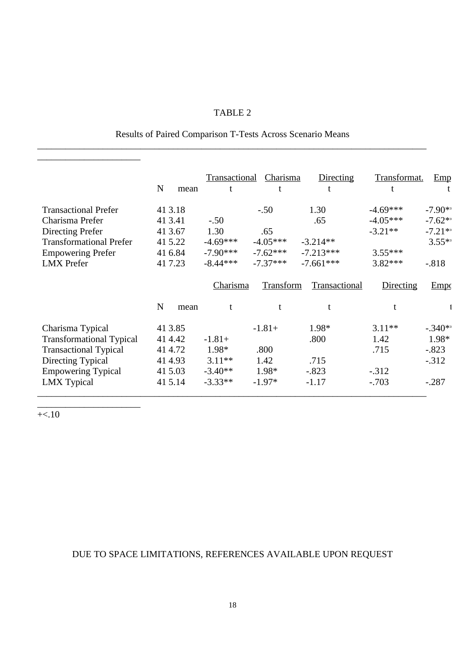# TABLE 2

# Results of Paired Comparison T-Tests Across Scenario Means \_\_\_\_\_\_\_\_\_\_\_\_\_\_\_\_\_\_\_\_\_\_\_\_\_\_\_\_\_\_\_\_\_\_\_\_\_\_\_\_\_\_\_\_\_\_\_\_\_\_\_\_\_\_\_\_\_\_\_\_\_\_\_\_\_\_\_\_\_\_\_\_\_\_\_\_\_\_\_\_\_\_\_

|                                 | N<br>mean           | Transactional<br>t | Charisma   | Directing     | Transformat. | Emp       |
|---------------------------------|---------------------|--------------------|------------|---------------|--------------|-----------|
| <b>Transactional Prefer</b>     | 41 3.18             |                    | $-.50$     | 1.30          | $-4.69***$   | $-7.90**$ |
| Charisma Prefer                 | 41 3.41             | $-.50$             |            | .65           | $-4.05***$   | $-7.62**$ |
| Directing Prefer                | 41 3.67             | 1.30               | .65        |               | $-3.21**$    | $-7.21**$ |
| <b>Transformational Prefer</b>  | 415.22              | $-4.69***$         | $-4.05***$ | $-3.214**$    |              | $3.55**$  |
| <b>Empowering Prefer</b>        | 41 6.84             | $-7.90***$         | $-7.62***$ | $-7.213***$   | $3.55***$    |           |
| <b>LMX</b> Prefer               | 41 7.23             | $-8.44***$         | $-7.37***$ | $-7.661***$   | $3.82***$    | $-.818$   |
|                                 |                     | Charisma           | Transform  | Transactional | Directing    | Empc      |
|                                 | $\mathbf N$<br>mean | t                  |            |               |              |           |
| Charisma Typical                | 41 3.85             |                    | $-1.81+$   | 1.98*         | $3.11**$     | $-.340**$ |
| <b>Transformational Typical</b> | 41 4.42             | $-1.81+$           |            | .800          | 1.42         | 1.98*     |
| <b>Transactional Typical</b>    | 41 4.72             | 1.98*              | .800       |               | .715         | $-.823$   |
| Directing Typical               | 41 4.93             | $3.11**$           | 1.42       | .715          |              | $-.312$   |
| <b>Empowering Typical</b>       | 41 5.03             | $-3.40**$          | 1.98*      | $-.823$       | $-.312$      |           |
| <b>LMX</b> Typical              | 415.14              | $-3.33**$          | $-1.97*$   | $-1.17$       | $-.703$      | $-.287$   |

 $+\lt$ .10

\_\_\_\_\_\_\_\_\_\_\_\_\_\_\_\_\_\_\_\_\_\_

\_\_\_\_\_\_\_\_\_\_\_\_\_\_\_\_\_\_\_\_\_\_

# DUE TO SPACE LIMITATIONS, REFERENCES AVAILABLE UPON REQUEST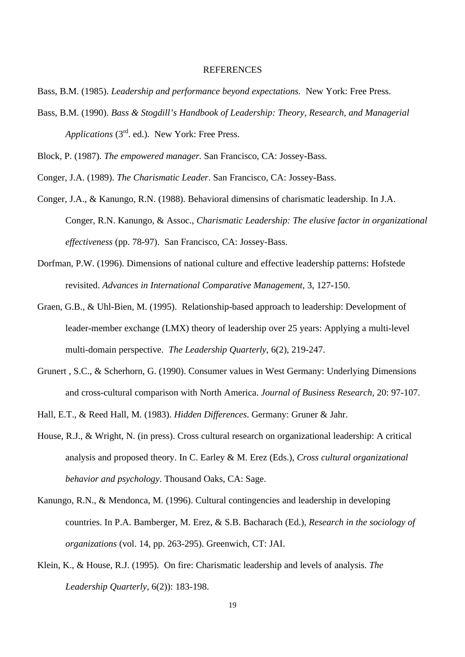#### **REFERENCES**

- Bass, B.M. (1985). *Leadership and performance beyond expectations.* New York: Free Press.
- Bass, B.M. (1990). *Bass & Stogdill's Handbook of Leadership: Theory, Research, and Managerial Applications* (3rd. ed.). New York: Free Press.

Block, P. (1987). *The empowered manager.* San Francisco, CA: Jossey-Bass.

Conger, J.A. (1989). *The Charismatic Leader*. San Francisco, CA: Jossey-Bass.

- Conger, J.A., & Kanungo, R.N. (1988). Behavioral dimensins of charismatic leadership. In J.A. Conger, R.N. Kanungo, & Assoc., *Charismatic Leadership: The elusive factor in organizational effectiveness* (pp. 78-97). San Francisco, CA: Jossey-Bass.
- Dorfman, P.W. (1996). Dimensions of national culture and effective leadership patterns: Hofstede revisited. *Advances in International Comparative Management*, 3, 127-150.
- Graen, G.B., & Uhl-Bien, M. (1995). Relationship-based approach to leadership: Development of leader-member exchange (LMX) theory of leadership over 25 years: Applying a multi-level multi-domain perspective. *The Leadership Quarterly*, 6(2), 219-247.
- Grunert , S.C., & Scherhorn, G. (1990). Consumer values in West Germany: Underlying Dimensions and cross-cultural comparison with North America. *Journal of Business Research*, 20: 97-107.

Hall, E.T., & Reed Hall, M. (1983). *Hidden Differences*. Germany: Gruner & Jahr.

- House, R.J., & Wright, N. (in press). Cross cultural research on organizational leadership: A critical analysis and proposed theory. In C. Earley & M. Erez (Eds.), *Cross cultural organizational behavior and psychology*. Thousand Oaks, CA: Sage.
- Kanungo, R.N., & Mendonca, M. (1996). Cultural contingencies and leadership in developing countries. In P.A. Bamberger, M. Erez, & S.B. Bacharach (Ed.), *Research in the sociology of organizations* (vol. 14, pp. 263-295). Greenwich, CT: JAI.
- Klein, K., & House, R.J. (1995). On fire: Charismatic leadership and levels of analysis. *The Leadership Quarterly*, 6(2)): 183-198.